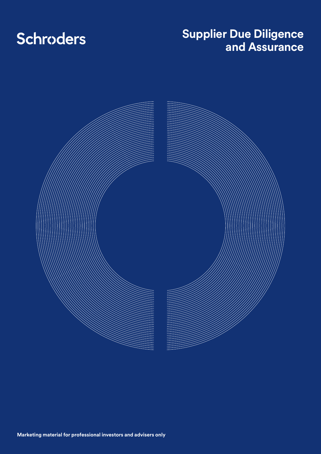# **Schroders**

## **Supplier Due Diligence and Assurance**

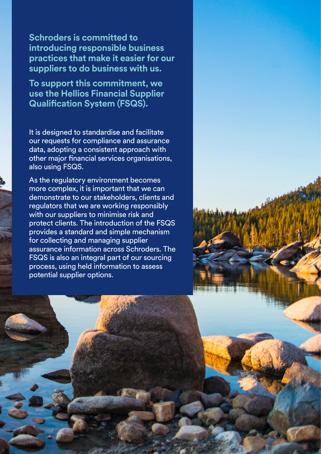**Schroders is committed to introducing responsible business practices that make it easier for our suppliers to do business with us.**

**To support this commitment, we use the Hellios Financial Supplier Qualification System (FSQS).**

It is designed to standardise and facilitate our requests for compliance and assurance data, adopting a consistent approach with other major financial services organisations, also using FSQS.

As the regulatory environment becomes more complex, it is important that we can demonstrate to our stakeholders, clients and regulators that we are working responsibly with our suppliers to minimise risk and protect clients. The introduction of the FSQS provides a standard and simple mechanism for collecting and managing supplier assurance information across Schroders. The FSQS is also an integral part of our sourcing process, using held information to assess potential supplier options.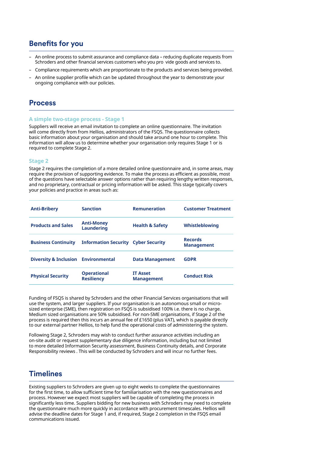## **Benefits for you**

- Ȃ An online process to submit assurance and compliance data reducing duplicate requests from Schroders and other financial services customers who you pro vide goods and services to.
- Ȃ Compliance requirements which are proportionate to the products and services being provided.
- Ȃ An online supplier profile which can be updated throughout the year to demonstrate your ongoing compliance with our policies.

## **Process**

#### **A simple two-stage process - Stage 1**

Suppliers will receive an email invitation to complete an online questionnaire. The invitation will come directly from from Hellios, administrators of the FSQS. The questionnaire collects basic information about your organisation and should take around one hour to complete. This information will allow us to determine whether your organisation only requires Stage 1 or is required to complete Stage 2.

#### **Stage 2**

Stage 2 requires the completion of a more detailed online questionnaire and, in some areas, may require the provision of supporting evidence. To make the process as efficient as possible, most of the questions have selectable answer options rather than requiring lengthy written responses, and no proprietary, contractual or pricing information will be asked. This stage typically covers your policies and practice in areas such as:

| <b>Anti-Bribery</b>                            | <b>Sanction</b>                            | <b>Remuneration</b>                  | <b>Customer Treatment</b>           |
|------------------------------------------------|--------------------------------------------|--------------------------------------|-------------------------------------|
| <b>Products and Sales</b>                      | <b>Anti-Money</b><br><b>Laundering</b>     | <b>Health &amp; Safety</b>           | Whistleblowing                      |
| <b>Business Continuity</b>                     | <b>Information Security Cyber Security</b> |                                      | <b>Records</b><br><b>Management</b> |
| <b>Diversity &amp; Inclusion Environmental</b> |                                            | <b>Data Management</b>               | <b>GDPR</b>                         |
| <b>Physical Security</b>                       | <b>Operational</b><br><b>Resiliency</b>    | <b>IT Asset</b><br><b>Management</b> | <b>Conduct Risk</b>                 |

Funding of FSQS is shared by Schroders and the other Financial Services organisations that will use the system, and larger suppliers. If your organisation is an autonomous small or microsized enterprise (SME), then registration on FSQS is subsidised 100% i.e. there is no charge. Medium sized organisations are 50% subsidised. For non-SME organisations, if Stage 2 of the process is required then this incurs an annual fee of £1650 (plus VAT), which is payable directly to our external partner Hellios, to help fund the operational costs of administering the system.

Following Stage 2, Schroders may wish to conduct further assurance activities including an on-site audit or request supplementary due diligence information, including but not limited to more detailed Information Security assessment, Business Continuity details, and Corporate Responsibility reviews . This will be conducted by Schroders and will incur no further fees.

## **Timelines**

Existing suppliers to Schroders are given up to eight weeks to complete the questionnaires for the first time, to allow sufficient time for familiarisation with the new questionnaires and process. However we expect most suppliers will be capable of completing the process in significantly less time. Suppliers bidding for new business with Schroders may need to complete the questionnaire much more quickly in accordance with procurement timescales. Hellios will advise the deadline dates for Stage 1 and, if required, Stage 2 completion in the FSQS email communications issued.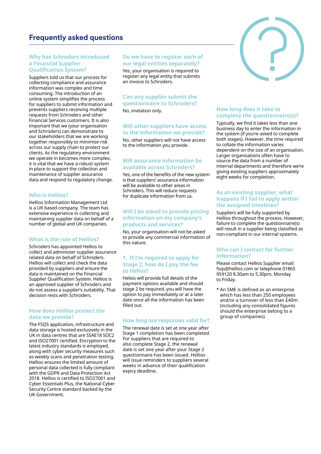## **Frequently asked questions**

#### **Why has Schroders introduced a Financial Supplier Qualification System?**

Suppliers told us that our process for collecting compliance and assurance information was complex and time consuming. The introduction of an online system simplifies the process for suppliers to submit information and prevents suppliers receiving multiple requests from Schroders and other Financial Services customers. It is also important that we (your organisation and Schroders) can demonstrate to our stakeholders that we are working together responsibly to minimise risk across our supply chain to protect our clients. As the regulatory environment we operate in becomes more complex, it is vital that we have a robust system in place to support the collection and maintenance of supplier assurance data and respond to regulatory change.

#### **Who is Hellios?**

Hellios Information Management Ltd is a UK based company. The team has extensive experience in collecting and maintaining supplier data on behalf of a number of global and UK companies.

#### **What is the role of Hellios?**

Schroders has appointed Hellios to collect and administer supplier assurance related data on behalf of Schroders. Hellios will collect and check the data provided by suppliers and ensure the data is maintained on the Financial Supplier Qualification System. Hellios is an approved supplier of Schroders and do not assess a supplier's suitability. That decision rests with Schroders.

#### **How does Hellios protect the data we provide?**

The FSQS application, infrastructure and data storage is hosted exclusively in the UK in data centres that are SSAE18 SOC2 and ISO27001 certified. Encryption to the latest industry standards is employed, along with cyber security measures such as weekly scans and penetration testing. Hellios ensures the limited amount of personal data collected is fully compliant with the GDPR and Data Protection Act 2018. Hellios is certified to ISO27001 and Cyber Essentials Plus, the National Cyber Security Centre standard backed by the UK Government.

#### **Do we have to register each of our legal entities separately?**

Yes, your organisation is required to register any legal entity that submits an invoice to Schroders.

#### **Can any supplier submit the questionnaire to Schroders?**

No, invitation only.

#### **Will other suppliers have access to the information we provide?**

No, other suppliers will not have access to the information you provide.

#### **Will assurance information be available across Schroders?**

Yes, one of the benefits of the new system is that suppliers' assurance information will be available to other areas in Schroders. This will reduce requests for duplicate information from us.

#### **Will I be asked to provide pricing information on my company's products and services?**

No, your organisation will not be asked to provide any commercial information of this nature.

#### **1. If I'm required to apply for Stage 2, how do I pay the fee to Helios?**

Helios will provide full details of the payment options available and should stage 2 be required, you will have the option to pay immediately or at a later date once all the information has been filled out.

#### **How long are responses valid for?**

The renewal date is set at one year after Stage 1 completion has been completed. For suppliers that are required to also complete Stage 2, the renewal date is set one year after your Stage 2 questionnaire has been issued. Hellios will issue reminders to suppliers several weeks in advance of their qualification expiry deadline.



### **How long does it take to complete the questionnaire(s)?**

Typically, we find it takes less than one business day to enter the information in the system (if you're asked to complete both stages). However, the time required to collate the information varies dependent on the size of an organisation. Larger organisations often have to source the data from a number of internal departments and therefore we're giving existing suppliers approximately eight weeks for completion.

#### **As an existing supplier, what happens if I fail to apply within the assigned timelines?**

Suppliers will be fully supported by Hellios throughout the process. However, failure to complete the questionnaire(s) will result in a supplier being classified as non-compliant in our internal systems.

#### **Who can I contact for further information?**

Please contact Hellios Supplier email: fsqs@hellios.com or telephone 01865 959120 8.30am to 5.30pm, Monday to Friday.

\* An SME is defined as an enterprise which has less than 250 employees and/or a turnover of less than £40m (including any consolidated figures should the enterprise belong to a group of companies).